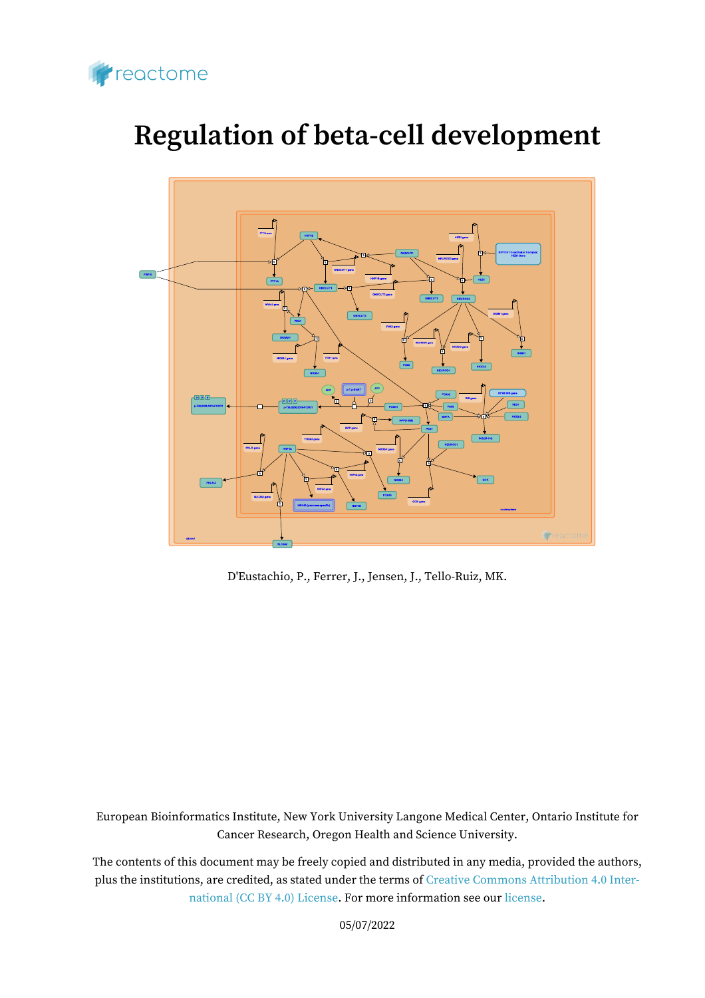

# **Regulation of beta-cell development**



D'Eustachio, P., Ferrer, J., Jensen, J., Tello-Ruiz, MK.

European Bioinformatics Institute, New York University Langone Medical Center, Ontario Institute for Cancer Research, Oregon Health and Science University.

The contents of this document may be freely copied and distributed in any media, provided the authors, plus the institutions, are credited, as stated under the terms of [Creative Commons Attribution 4.0 Inter](https://creativecommons.org/licenses/by/4.0/)[national \(CC BY 4.0\) License](https://creativecommons.org/licenses/by/4.0/). For more information see our [license](https://reactome.org/license).

05/07/2022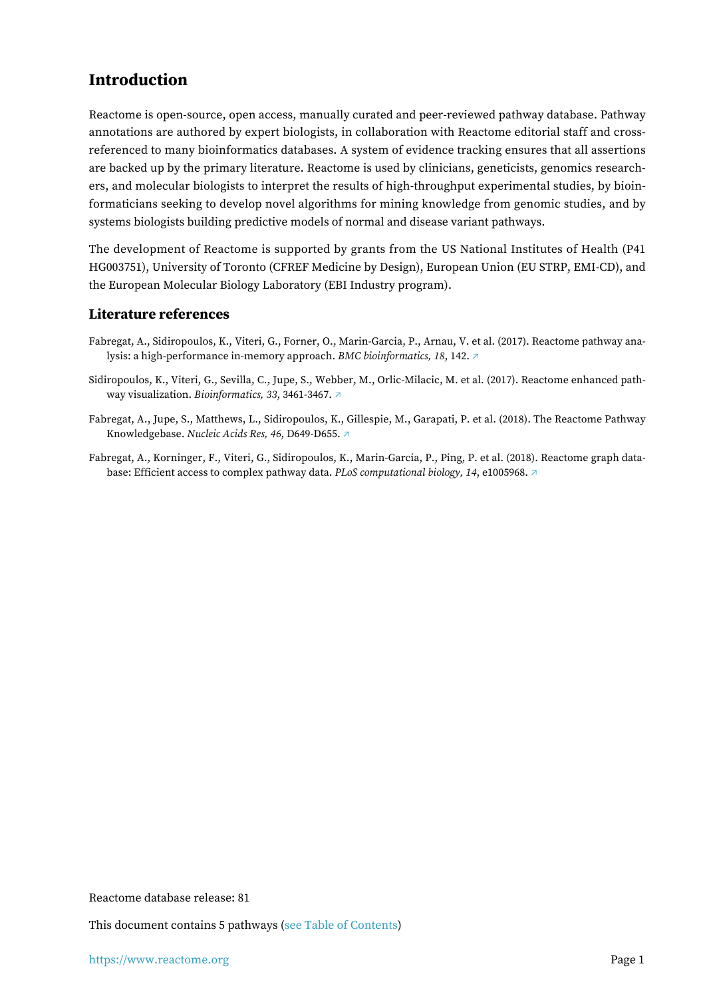## <span id="page-1-0"></span>**Introduction**

Reactome is open-source, open access, manually curated and peer-reviewed pathway database. Pathway annotations are authored by expert biologists, in collaboration with Reactome editorial staff and crossreferenced to many bioinformatics databases. A system of evidence tracking ensures that all assertions are backed up by the primary literature. Reactome is used by clinicians, geneticists, genomics researchers, and molecular biologists to interpret the results of high-throughput experimental studies, by bioinformaticians seeking to develop novel algorithms for mining knowledge from genomic studies, and by systems biologists building predictive models of normal and disease variant pathways.

The development of Reactome is supported by grants from the US National Institutes of Health (P41 HG003751), University of Toronto (CFREF Medicine by Design), European Union (EU STRP, EMI-CD), and the European Molecular Biology Laboratory (EBI Industry program).

#### **Literature references**

- Fabregat, A., Sidiropoulos, K., Viteri, G., Forner, O., Marin-Garcia, P., Arnau, V. et al. (2017). Reactome pathway analysis: a high-performance in-memory approach. *BMC bioinformatics, 18*, 142. [↗](http://www.ncbi.nlm.nih.gov/pubmed/28249561)
- Sidiropoulos, K., Viteri, G., Sevilla, C., Jupe, S., Webber, M., Orlic-Milacic, M. et al. (2017). Reactome enhanced pathway visualization. *Bioinformatics, 33*, 3461-3467. [↗](http://www.ncbi.nlm.nih.gov/pubmed/29077811)
- Fabregat, A., Jupe, S., Matthews, L., Sidiropoulos, K., Gillespie, M., Garapati, P. et al. (2018). The Reactome Pathway Knowledgebase. *Nucleic Acids Res, 46*, D649-D655. [↗](http://www.ncbi.nlm.nih.gov/pubmed/29145629)
- Fabregat, A., Korninger, F., Viteri, G., Sidiropoulos, K., Marin-Garcia, P., Ping, P. et al. (2018). Reactome graph database: Efficient access to complex pathway data. *PLoS computational biology, 14*, e1005968. [↗](http://www.ncbi.nlm.nih.gov/pubmed/29377902)

Reactome database release: 81

This document contains 5 pathways [\(see Table of Contents\)](#page-8-0)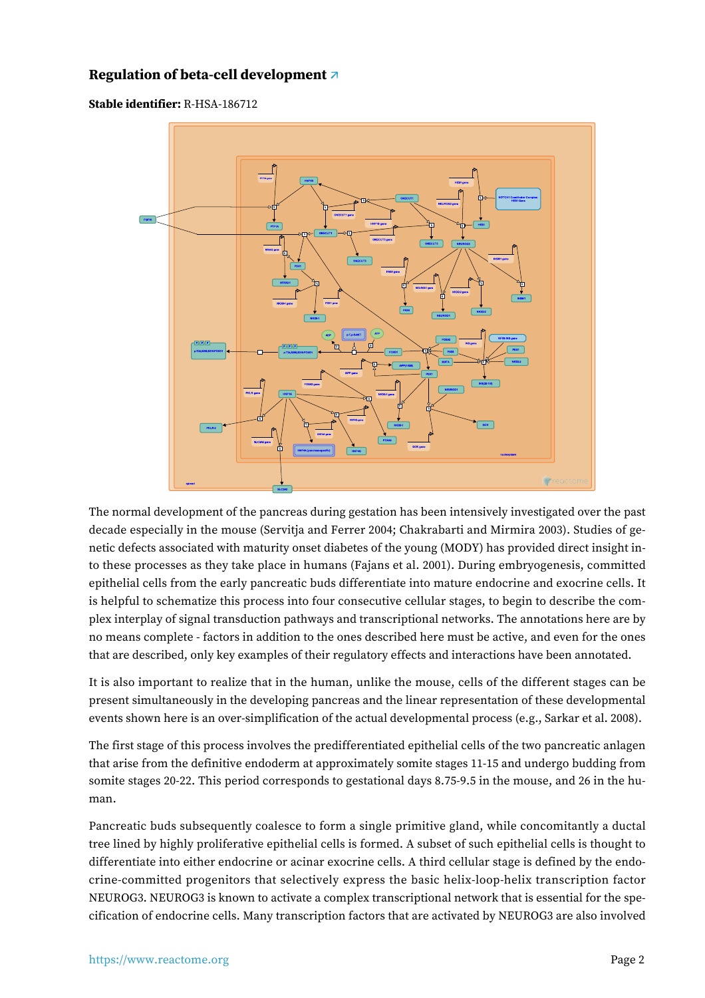## <span id="page-2-0"></span>**Regulation of beta-cell development [↗](https://www.reactome.org/content/detail/R-HSA-186712)**

**Stable identifier:** R-HSA-186712



The normal development of the pancreas during gestation has been intensively investigated over the past decade especially in the mouse (Servitja and Ferrer 2004; Chakrabarti and Mirmira 2003). Studies of genetic defects associated with maturity onset diabetes of the young (MODY) has provided direct insight into these processes as they take place in humans (Fajans et al. 2001). During embryogenesis, committed epithelial cells from the early pancreatic buds differentiate into mature endocrine and exocrine cells. It is helpful to schematize this process into four consecutive cellular stages, to begin to describe the complex interplay of signal transduction pathways and transcriptional networks. The annotations here are by no means complete - factors in addition to the ones described here must be active, and even for the ones that are described, only key examples of their regulatory effects and interactions have been annotated.

It is also important to realize that in the human, unlike the mouse, cells of the different stages can be present simultaneously in the developing pancreas and the linear representation of these developmental events shown here is an over-simplification of the actual developmental process (e.g., Sarkar et al. 2008).

The first stage of this process involves the predifferentiated epithelial cells of the two pancreatic anlagen that arise from the definitive endoderm at approximately somite stages 11-15 and undergo budding from somite stages 20-22. This period corresponds to gestational days 8.75-9.5 in the mouse, and 26 in the human.

Pancreatic buds subsequently coalesce to form a single primitive gland, while concomitantly a ductal tree lined by highly proliferative epithelial cells is formed. A subset of such epithelial cells is thought to differentiate into either endocrine or acinar exocrine cells. A third cellular stage is defined by the endocrine-committed progenitors that selectively express the basic helix-loop-helix transcription factor NEUROG3. NEUROG3 is known to activate a complex transcriptional network that is essential for the specification of endocrine cells. Many transcription factors that are activated by NEUROG3 are also involved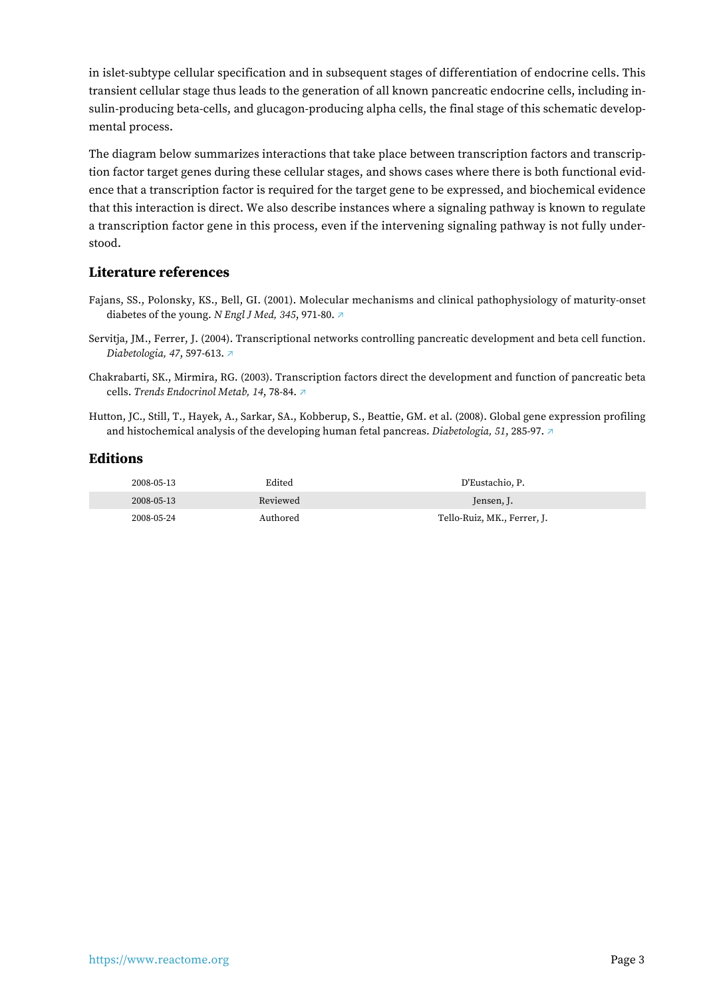in islet-subtype cellular specification and in subsequent stages of differentiation of endocrine cells. This transient cellular stage thus leads to the generation of all known pancreatic endocrine cells, including insulin-producing beta-cells, and glucagon-producing alpha cells, the final stage of this schematic developmental process.

The diagram below summarizes interactions that take place between transcription factors and transcription factor target genes during these cellular stages, and shows cases where there is both functional evidence that a transcription factor is required for the target gene to be expressed, and biochemical evidence that this interaction is direct. We also describe instances where a signaling pathway is known to regulate a transcription factor gene in this process, even if the intervening signaling pathway is not fully understood.

#### **Literature references**

- Fajans, SS., Polonsky, KS., Bell, GI. (2001). Molecular mechanisms and clinical pathophysiology of maturity-onset diabetes of the young. *N Engl J Med, 345*, 971-80. [↗](http://www.ncbi.nlm.nih.gov/pubmed/11575290)
- Servitja, JM., Ferrer, J. (2004). Transcriptional networks controlling pancreatic development and beta cell function. *Diabetologia, 47*, 597-613. [↗](http://www.ncbi.nlm.nih.gov/pubmed/15298336)
- Chakrabarti, SK., Mirmira, RG. (2003). Transcription factors direct the development and function of pancreatic beta cells. *Trends Endocrinol Metab, 14*, 78-84. [↗](http://www.ncbi.nlm.nih.gov/pubmed/12591178)
- Hutton, JC., Still, T., Hayek, A., Sarkar, SA., Kobberup, S., Beattie, GM. et al. (2008). Global gene expression profiling and histochemical analysis of the developing human fetal pancreas. *Diabetologia, 51*, 285-97. [↗](http://www.ncbi.nlm.nih.gov/pubmed/18094957)

| 2008-05-13 | Edited   | D'Eustachio. P.             |
|------------|----------|-----------------------------|
| 2008-05-13 | Reviewed | Jensen, J.                  |
| 2008-05-24 | Authored | Tello-Ruiz, MK., Ferrer, J. |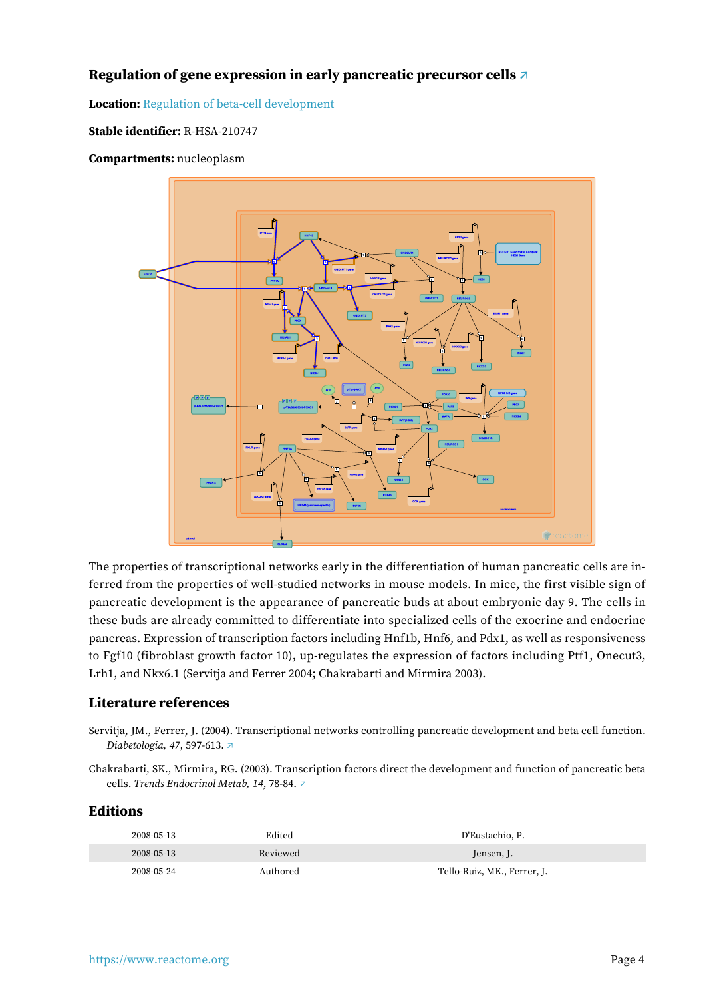## <span id="page-4-0"></span>**Regulation of gene expression in early pancreatic precursor cells [↗](https://www.reactome.org/content/detail/R-HSA-210747)**

#### **Location:** [Regulation of beta-cell development](#page-2-0)

#### **Stable identifier:** R-HSA-210747

**Compartments:** nucleoplasm

![](_page_4_Figure_4.jpeg)

The properties of transcriptional networks early in the differentiation of human pancreatic cells are inferred from the properties of well-studied networks in mouse models. In mice, the first visible sign of pancreatic development is the appearance of pancreatic buds at about embryonic day 9. The cells in these buds are already committed to differentiate into specialized cells of the exocrine and endocrine pancreas. Expression of transcription factors including Hnf1b, Hnf6, and Pdx1, as well as responsiveness to Fgf10 (fibroblast growth factor 10), up-regulates the expression of factors including Ptf1, Onecut3, Lrh1, and Nkx6.1 (Servitja and Ferrer 2004; Chakrabarti and Mirmira 2003).

#### **Literature references**

- Servitja, JM., Ferrer, J. (2004). Transcriptional networks controlling pancreatic development and beta cell function. *Diabetologia, 47*, 597-613. [↗](http://www.ncbi.nlm.nih.gov/pubmed/15298336)
- Chakrabarti, SK., Mirmira, RG. (2003). Transcription factors direct the development and function of pancreatic beta cells. *Trends Endocrinol Metab, 14*, 78-84. [↗](http://www.ncbi.nlm.nih.gov/pubmed/12591178)

| 2008-05-13 | Edited   | D'Eustachio, P.             |
|------------|----------|-----------------------------|
| 2008-05-13 | Reviewed | Jensen, J.                  |
| 2008-05-24 | Authored | Tello-Ruiz, MK., Ferrer, J. |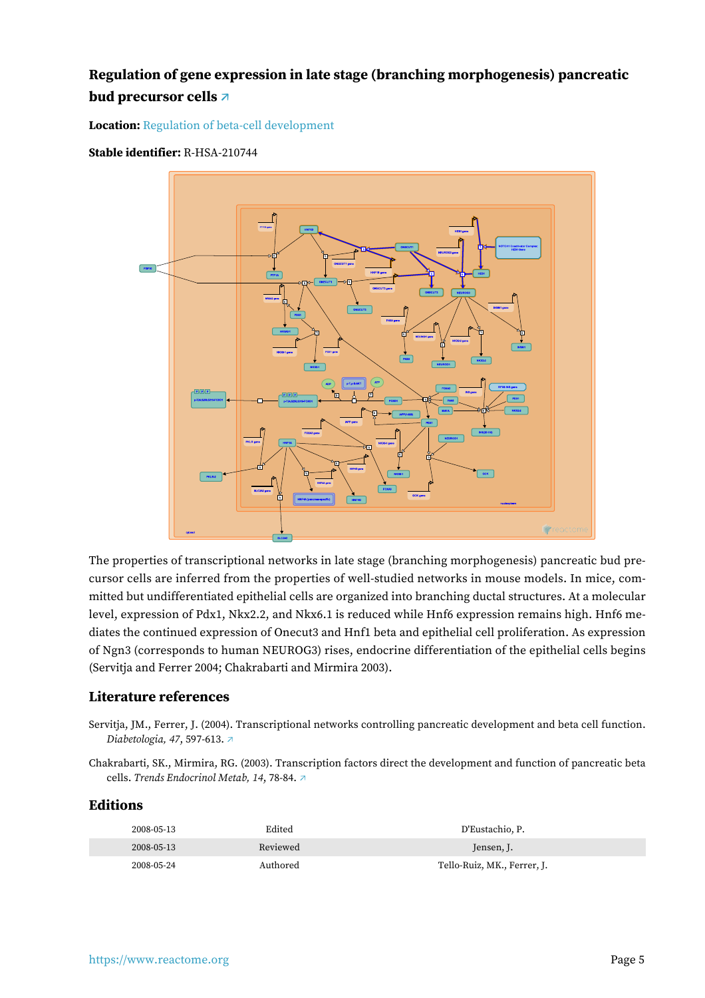## <span id="page-5-0"></span>**Regulation of gene expression in late stage (branching morphogenesis) pancreatic bud precursor cells [↗](https://www.reactome.org/content/detail/R-HSA-210744)**

**Location:** [Regulation of beta-cell development](#page-2-0)

#### **Stable identifier:** R-HSA-210744

![](_page_5_Figure_3.jpeg)

The properties of transcriptional networks in late stage (branching morphogenesis) pancreatic bud precursor cells are inferred from the properties of well-studied networks in mouse models. In mice, committed but undifferentiated epithelial cells are organized into branching ductal structures. At a molecular level, expression of Pdx1, Nkx2.2, and Nkx6.1 is reduced while Hnf6 expression remains high. Hnf6 mediates the continued expression of Onecut3 and Hnf1 beta and epithelial cell proliferation. As expression of Ngn3 (corresponds to human NEUROG3) rises, endocrine differentiation of the epithelial cells begins (Servitja and Ferrer 2004; Chakrabarti and Mirmira 2003).

#### **Literature references**

- Servitja, JM., Ferrer, J. (2004). Transcriptional networks controlling pancreatic development and beta cell function. *Diabetologia, 47*, 597-613. [↗](http://www.ncbi.nlm.nih.gov/pubmed/15298336)
- Chakrabarti, SK., Mirmira, RG. (2003). Transcription factors direct the development and function of pancreatic beta cells. *Trends Endocrinol Metab, 14*, 78-84. [↗](http://www.ncbi.nlm.nih.gov/pubmed/12591178)

| 2008-05-13 | Edited   | D'Eustachio, P.             |
|------------|----------|-----------------------------|
| 2008-05-13 | Reviewed | Jensen, J.                  |
| 2008-05-24 | Authored | Tello-Ruiz, MK., Ferrer, J. |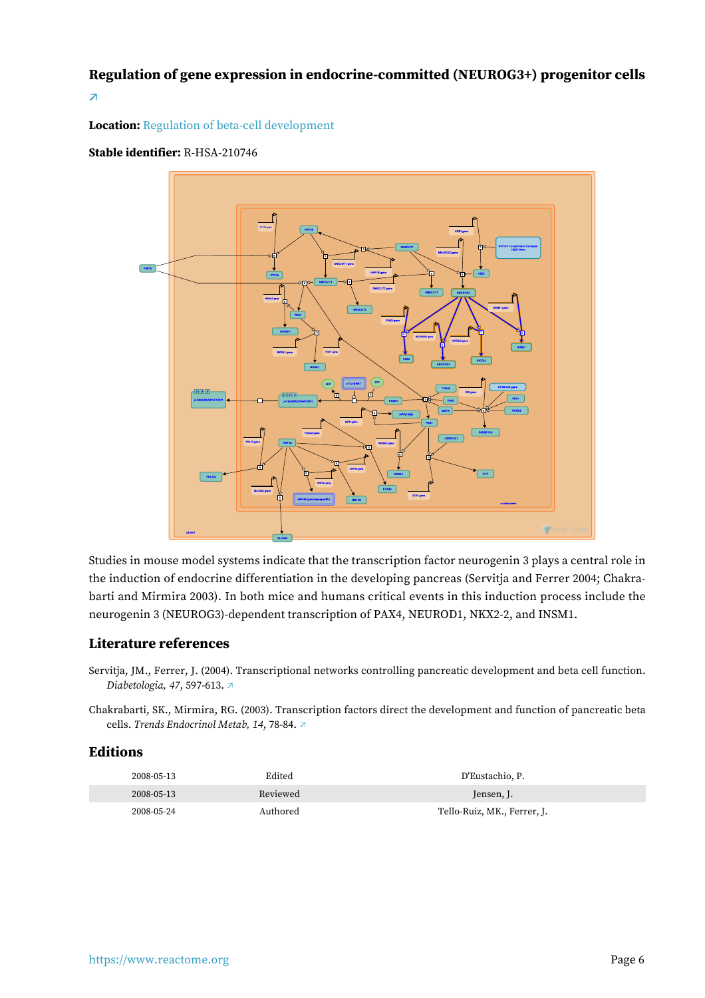<span id="page-6-0"></span>**Regulation of gene expression in endocrine-committed (NEUROG3+) progenitor cells [↗](https://www.reactome.org/content/detail/R-HSA-210746)**

#### **Location:** [Regulation of beta-cell development](#page-2-0)

#### **Stable identifier:** R-HSA-210746

![](_page_6_Figure_3.jpeg)

Studies in mouse model systems indicate that the transcription factor neurogenin 3 plays a central role in the induction of endocrine differentiation in the developing pancreas (Servitja and Ferrer 2004; Chakrabarti and Mirmira 2003). In both mice and humans critical events in this induction process include the neurogenin 3 (NEUROG3)-dependent transcription of PAX4, NEUROD1, NKX2-2, and INSM1.

#### **Literature references**

Servitja, JM., Ferrer, J. (2004). Transcriptional networks controlling pancreatic development and beta cell function. *Diabetologia, 47*, 597-613. [↗](http://www.ncbi.nlm.nih.gov/pubmed/15298336)

Chakrabarti, SK., Mirmira, RG. (2003). Transcription factors direct the development and function of pancreatic beta cells. *Trends Endocrinol Metab, 14*, 78-84. [↗](http://www.ncbi.nlm.nih.gov/pubmed/12591178)

| 2008-05-13 | Edited   | D'Eustachio, P.             |
|------------|----------|-----------------------------|
| 2008-05-13 | Reviewed | Jensen, J.                  |
| 2008-05-24 | Authored | Tello-Ruiz, MK., Ferrer, J. |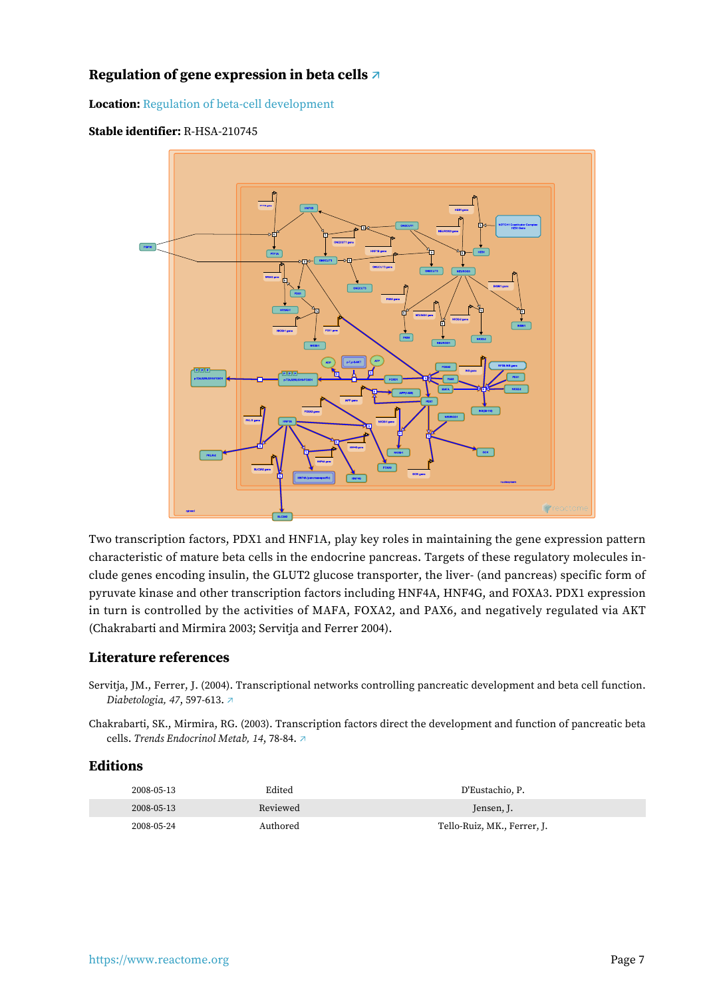## <span id="page-7-0"></span>**Regulation of gene expression in beta cells [↗](https://www.reactome.org/content/detail/R-HSA-210745)**

**Location:** [Regulation of beta-cell development](#page-2-0)

![](_page_7_Figure_2.jpeg)

![](_page_7_Figure_3.jpeg)

Two transcription factors, PDX1 and HNF1A, play key roles in maintaining the gene expression pattern characteristic of mature beta cells in the endocrine pancreas. Targets of these regulatory molecules include genes encoding insulin, the GLUT2 glucose transporter, the liver- (and pancreas) specific form of pyruvate kinase and other transcription factors including HNF4A, HNF4G, and FOXA3. PDX1 expression in turn is controlled by the activities of MAFA, FOXA2, and PAX6, and negatively regulated via AKT (Chakrabarti and Mirmira 2003; Servitja and Ferrer 2004).

#### **Literature references**

Servitja, JM., Ferrer, J. (2004). Transcriptional networks controlling pancreatic development and beta cell function. *Diabetologia, 47*, 597-613. [↗](http://www.ncbi.nlm.nih.gov/pubmed/15298336)

Chakrabarti, SK., Mirmira, RG. (2003). Transcription factors direct the development and function of pancreatic beta cells. *Trends Endocrinol Metab, 14*, 78-84. [↗](http://www.ncbi.nlm.nih.gov/pubmed/12591178)

| 2008-05-13 | Edited   | D'Eustachio, P.             |
|------------|----------|-----------------------------|
| 2008-05-13 | Reviewed | Jensen, J.                  |
| 2008-05-24 | Authored | Tello-Ruiz, MK., Ferrer, J. |